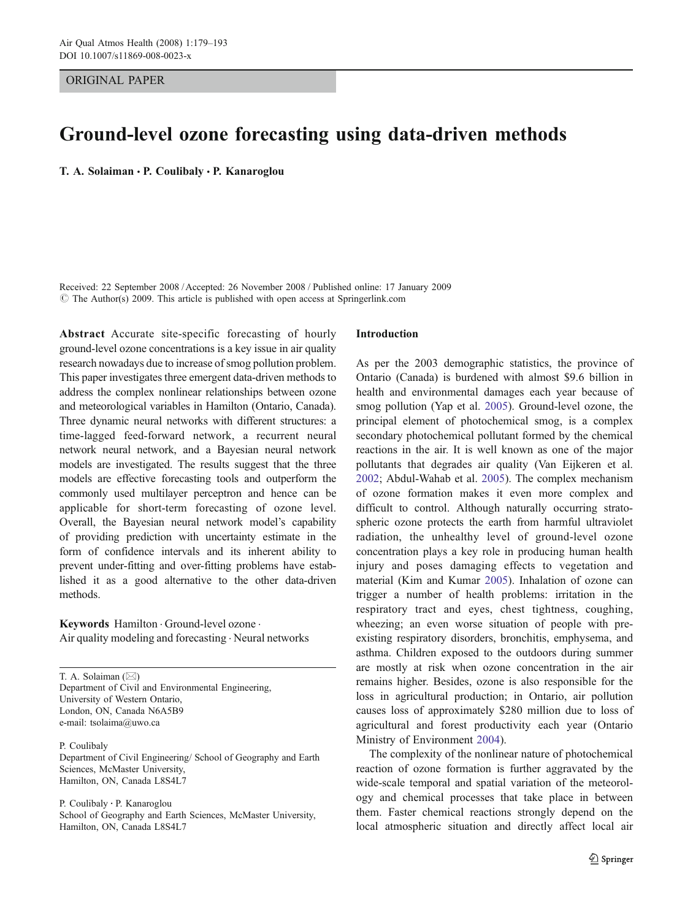ORIGINAL PAPER

# Ground-level ozone forecasting using data-driven methods

T. A. Solaiman · P. Coulibaly · P. Kanaroglou

Received: 22 September 2008 /Accepted: 26 November 2008 / Published online: 17 January 2009  $\circ$  The Author(s) 2009. This article is published with open access at Springerlink.com

Abstract Accurate site-specific forecasting of hourly ground-level ozone concentrations is a key issue in air quality research nowadays due to increase of smog pollution problem. This paper investigates three emergent data-driven methods to address the complex nonlinear relationships between ozone and meteorological variables in Hamilton (Ontario, Canada). Three dynamic neural networks with different structures: a time-lagged feed-forward network, a recurrent neural network neural network, and a Bayesian neural network models are investigated. The results suggest that the three models are effective forecasting tools and outperform the commonly used multilayer perceptron and hence can be applicable for short-term forecasting of ozone level. Overall, the Bayesian neural network model's capability of providing prediction with uncertainty estimate in the form of confidence intervals and its inherent ability to prevent under-fitting and over-fitting problems have established it as a good alternative to the other data-driven methods.

Keywords Hamilton · Ground-level ozone · Air quality modeling and forecasting . Neural networks

T. A. Solaiman (*\**) Department of Civil and Environmental Engineering, University of Western Ontario, London, ON, Canada N6A5B9 e-mail: tsolaima@uwo.ca

P. Coulibaly

Department of Civil Engineering/ School of Geography and Earth Sciences, McMaster University, Hamilton, ON, Canada L8S4L7

P. Coulibaly : P. Kanaroglou School of Geography and Earth Sciences, McMaster University, Hamilton, ON, Canada L8S4L7

#### Introduction

As per the 2003 demographic statistics, the province of Ontario (Canada) is burdened with almost \$9.6 billion in health and environmental damages each year because of smog pollution (Yap et al. [2005\)](#page-14-0). Ground-level ozone, the principal element of photochemical smog, is a complex secondary photochemical pollutant formed by the chemical reactions in the air. It is well known as one of the major pollutants that degrades air quality (Van Eijkeren et al. [2002](#page-14-0); Abdul-Wahab et al. [2005](#page-13-0)). The complex mechanism of ozone formation makes it even more complex and difficult to control. Although naturally occurring stratospheric ozone protects the earth from harmful ultraviolet radiation, the unhealthy level of ground-level ozone concentration plays a key role in producing human health injury and poses damaging effects to vegetation and material (Kim and Kumar [2005\)](#page-14-0). Inhalation of ozone can trigger a number of health problems: irritation in the respiratory tract and eyes, chest tightness, coughing, wheezing; an even worse situation of people with preexisting respiratory disorders, bronchitis, emphysema, and asthma. Children exposed to the outdoors during summer are mostly at risk when ozone concentration in the air remains higher. Besides, ozone is also responsible for the loss in agricultural production; in Ontario, air pollution causes loss of approximately \$280 million due to loss of agricultural and forest productivity each year (Ontario Ministry of Environment [2004\)](#page-14-0).

The complexity of the nonlinear nature of photochemical reaction of ozone formation is further aggravated by the wide-scale temporal and spatial variation of the meteorology and chemical processes that take place in between them. Faster chemical reactions strongly depend on the local atmospheric situation and directly affect local air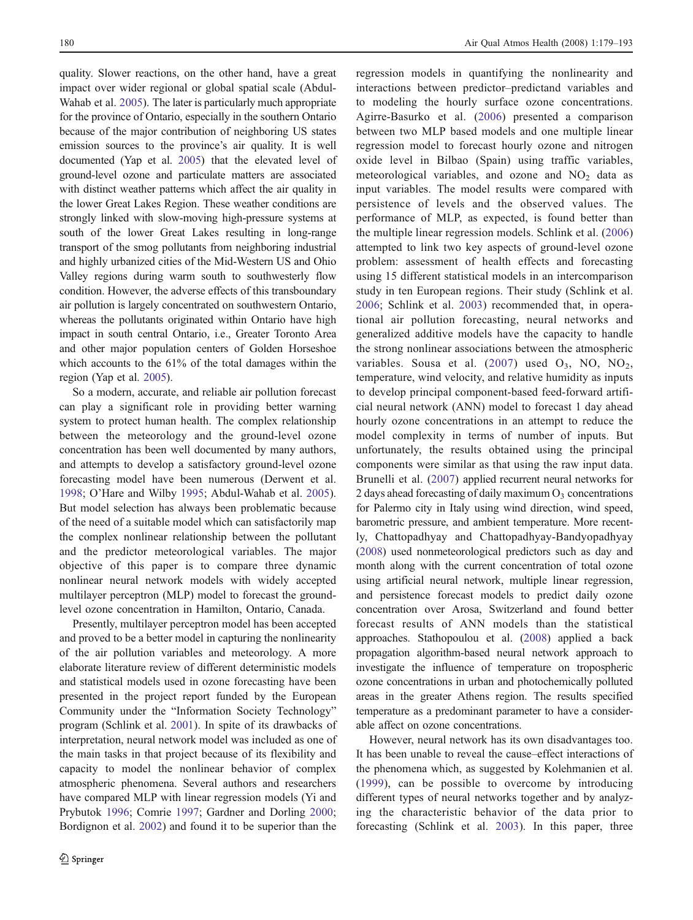quality. Slower reactions, on the other hand, have a great impact over wider regional or global spatial scale (Abdul-Wahab et al. [2005\)](#page-13-0). The later is particularly much appropriate for the province of Ontario, especially in the southern Ontario because of the major contribution of neighboring US states emission sources to the province's air quality. It is well documented (Yap et al. [2005\)](#page-14-0) that the elevated level of ground-level ozone and particulate matters are associated with distinct weather patterns which affect the air quality in the lower Great Lakes Region. These weather conditions are strongly linked with slow-moving high-pressure systems at south of the lower Great Lakes resulting in long-range transport of the smog pollutants from neighboring industrial and highly urbanized cities of the Mid-Western US and Ohio Valley regions during warm south to southwesterly flow condition. However, the adverse effects of this transboundary air pollution is largely concentrated on southwestern Ontario, whereas the pollutants originated within Ontario have high impact in south central Ontario, i.e., Greater Toronto Area and other major population centers of Golden Horseshoe which accounts to the 61% of the total damages within the region (Yap et al. [2005\)](#page-14-0).

So a modern, accurate, and reliable air pollution forecast can play a significant role in providing better warning system to protect human health. The complex relationship between the meteorology and the ground-level ozone concentration has been well documented by many authors, and attempts to develop a satisfactory ground-level ozone forecasting model have been numerous (Derwent et al. [1998;](#page-13-0) O'Hare and Wilby [1995](#page-14-0); Abdul-Wahab et al. [2005](#page-13-0)). But model selection has always been problematic because of the need of a suitable model which can satisfactorily map the complex nonlinear relationship between the pollutant and the predictor meteorological variables. The major objective of this paper is to compare three dynamic nonlinear neural network models with widely accepted multilayer perceptron (MLP) model to forecast the groundlevel ozone concentration in Hamilton, Ontario, Canada.

Presently, multilayer perceptron model has been accepted and proved to be a better model in capturing the nonlinearity of the air pollution variables and meteorology. A more elaborate literature review of different deterministic models and statistical models used in ozone forecasting have been presented in the project report funded by the European Community under the "Information Society Technology" program (Schlink et al. [2001\)](#page-14-0). In spite of its drawbacks of interpretation, neural network model was included as one of the main tasks in that project because of its flexibility and capacity to model the nonlinear behavior of complex atmospheric phenomena. Several authors and researchers have compared MLP with linear regression models (Yi and Prybutok [1996](#page-14-0); Comrie [1997](#page-13-0); Gardner and Dorling [2000](#page-13-0); Bordignon et al. [2002\)](#page-13-0) and found it to be superior than the

regression models in quantifying the nonlinearity and interactions between predictor–predictand variables and to modeling the hourly surface ozone concentrations. Agirre-Basurko et al. [\(2006\)](#page-13-0) presented a comparison between two MLP based models and one multiple linear regression model to forecast hourly ozone and nitrogen oxide level in Bilbao (Spain) using traffic variables, meteorological variables, and ozone and  $NO<sub>2</sub>$  data as input variables. The model results were compared with persistence of levels and the observed values. The performance of MLP, as expected, is found better than the multiple linear regression models. Schlink et al. ([2006](#page-14-0)) attempted to link two key aspects of ground-level ozone problem: assessment of health effects and forecasting using 15 different statistical models in an intercomparison study in ten European regions. Their study (Schlink et al. [2006](#page-14-0); Schlink et al. [2003](#page-14-0)) recommended that, in operational air pollution forecasting, neural networks and generalized additive models have the capacity to handle the strong nonlinear associations between the atmospheric variables. Sousa et al.  $(2007)$  $(2007)$  used  $O_3$ , NO, NO<sub>2</sub>, temperature, wind velocity, and relative humidity as inputs to develop principal component-based feed-forward artificial neural network (ANN) model to forecast 1 day ahead hourly ozone concentrations in an attempt to reduce the model complexity in terms of number of inputs. But unfortunately, the results obtained using the principal components were similar as that using the raw input data. Brunelli et al. ([2007](#page-13-0)) applied recurrent neural networks for 2 days ahead forecasting of daily maximum  $O_3$  concentrations for Palermo city in Italy using wind direction, wind speed, barometric pressure, and ambient temperature. More recently, Chattopadhyay and Chattopadhyay-Bandyopadhyay [\(2008\)](#page-13-0) used nonmeteorological predictors such as day and month along with the current concentration of total ozone using artificial neural network, multiple linear regression, and persistence forecast models to predict daily ozone concentration over Arosa, Switzerland and found better forecast results of ANN models than the statistical approaches. Stathopoulou et al. [\(2008](#page-14-0)) applied a back propagation algorithm-based neural network approach to investigate the influence of temperature on tropospheric ozone concentrations in urban and photochemically polluted areas in the greater Athens region. The results specified temperature as a predominant parameter to have a considerable affect on ozone concentrations.

However, neural network has its own disadvantages too. It has been unable to reveal the cause–effect interactions of the phenomena which, as suggested by Kolehmanien et al. ([1999](#page-14-0)), can be possible to overcome by introducing different types of neural networks together and by analyzing the characteristic behavior of the data prior to forecasting (Schlink et al. [2003](#page-14-0)). In this paper, three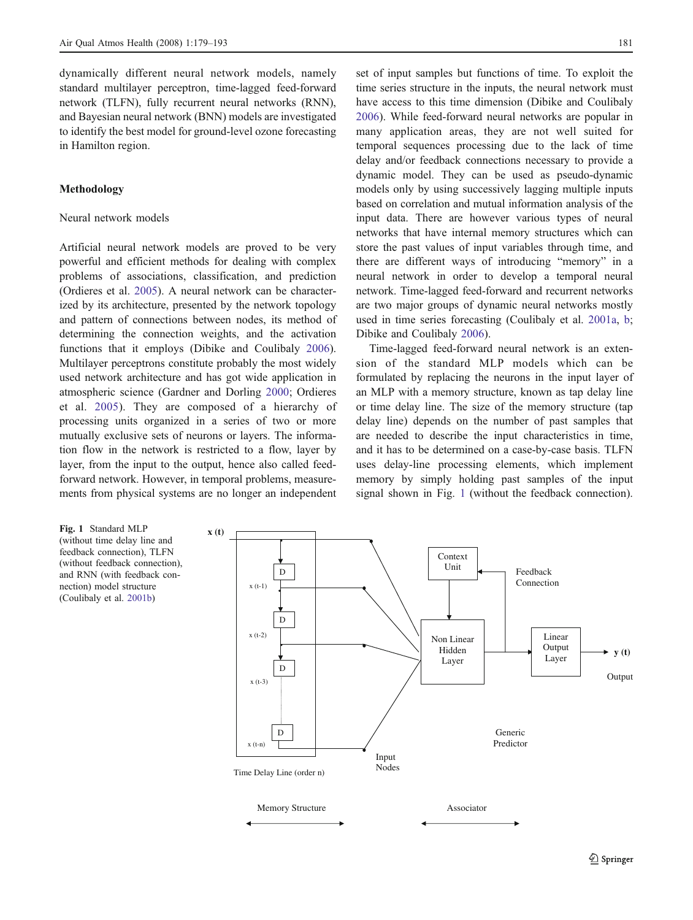dynamically different neural network models, namely standard multilayer perceptron, time-lagged feed-forward network (TLFN), fully recurrent neural networks (RNN), and Bayesian neural network (BNN) models are investigated to identify the best model for ground-level ozone forecasting in Hamilton region.

#### Methodology

# Neural network models

Artificial neural network models are proved to be very powerful and efficient methods for dealing with complex problems of associations, classification, and prediction (Ordieres et al. [2005](#page-14-0)). A neural network can be characterized by its architecture, presented by the network topology and pattern of connections between nodes, its method of determining the connection weights, and the activation functions that it employs (Dibike and Coulibaly [2006](#page-13-0)). Multilayer perceptrons constitute probably the most widely used network architecture and has got wide application in atmospheric science (Gardner and Dorling [2000;](#page-13-0) Ordieres et al. [2005](#page-14-0)). They are composed of a hierarchy of processing units organized in a series of two or more mutually exclusive sets of neurons or layers. The information flow in the network is restricted to a flow, layer by layer, from the input to the output, hence also called feedforward network. However, in temporal problems, measurements from physical systems are no longer an independent

set of input samples but functions of time. To exploit the time series structure in the inputs, the neural network must have access to this time dimension (Dibike and Coulibaly [2006](#page-13-0)). While feed-forward neural networks are popular in many application areas, they are not well suited for temporal sequences processing due to the lack of time delay and/or feedback connections necessary to provide a dynamic model. They can be used as pseudo-dynamic models only by using successively lagging multiple inputs based on correlation and mutual information analysis of the input data. There are however various types of neural networks that have internal memory structures which can store the past values of input variables through time, and there are different ways of introducing "memory" in a neural network in order to develop a temporal neural network. Time-lagged feed-forward and recurrent networks are two major groups of dynamic neural networks mostly used in time series forecasting (Coulibaly et al. [2001a](#page-13-0), [b;](#page-13-0) Dibike and Coulibaly [2006](#page-13-0)).

Time-lagged feed-forward neural network is an extension of the standard MLP models which can be formulated by replacing the neurons in the input layer of an MLP with a memory structure, known as tap delay line or time delay line. The size of the memory structure (tap delay line) depends on the number of past samples that are needed to describe the input characteristics in time, and it has to be determined on a case-by-case basis. TLFN uses delay-line processing elements, which implement memory by simply holding past samples of the input signal shown in Fig. 1 (without the feedback connection).

Fig. 1 Standard MLP (without time delay line and feedback connection), TLFN (without feedback connection), and RNN (with feedback connection) model structure (Coulibaly et al. [2001b\)](#page-13-0)

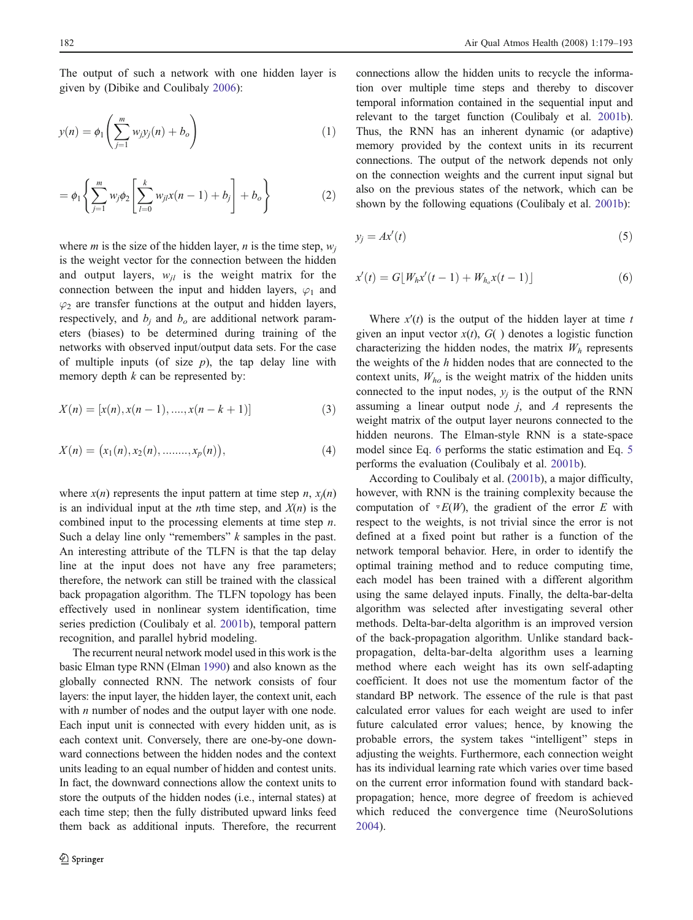<span id="page-3-0"></span>The output of such a network with one hidden layer is given by (Dibike and Coulibaly [2006](#page-13-0)):

$$
y(n) = \phi_1\left(\sum_{j=1}^m w_j y_j(n) + b_o\right) \tag{1}
$$

$$
= \phi_1 \left\{ \sum_{j=1}^m w_j \phi_2 \left[ \sum_{l=0}^k w_{jl} x(n-1) + b_j \right] + b_o \right\} \tag{2}
$$

where *m* is the size of the hidden layer, *n* is the time step,  $w_i$ is the weight vector for the connection between the hidden and output layers,  $w_{il}$  is the weight matrix for the connection between the input and hidden layers,  $\varphi_1$  and  $\varphi_2$  are transfer functions at the output and hidden layers, respectively, and  $b_i$  and  $b_o$  are additional network parameters (biases) to be determined during training of the networks with observed input/output data sets. For the case of multiple inputs (of size  $p$ ), the tap delay line with memory depth  $k$  can be represented by:

$$
X(n) = [x(n), x(n-1), \dots, x(n-k+1)]
$$
\n(3)

$$
X(n) = (x_1(n), x_2(n), \dots, x_p(n)),
$$
\n(4)

where  $x(n)$  represents the input pattern at time step n,  $x_i(n)$ is an individual input at the *n*th time step, and  $X(n)$  is the combined input to the processing elements at time step  $n$ . Such a delay line only "remembers"  $k$  samples in the past. An interesting attribute of the TLFN is that the tap delay line at the input does not have any free parameters; therefore, the network can still be trained with the classical back propagation algorithm. The TLFN topology has been effectively used in nonlinear system identification, time series prediction (Coulibaly et al. [2001b](#page-13-0)), temporal pattern recognition, and parallel hybrid modeling.

The recurrent neural network model used in this work is the basic Elman type RNN (Elman [1990](#page-13-0)) and also known as the globally connected RNN. The network consists of four layers: the input layer, the hidden layer, the context unit, each with  $n$  number of nodes and the output layer with one node. Each input unit is connected with every hidden unit, as is each context unit. Conversely, there are one-by-one downward connections between the hidden nodes and the context units leading to an equal number of hidden and contest units. In fact, the downward connections allow the context units to store the outputs of the hidden nodes (i.e., internal states) at each time step; then the fully distributed upward links feed them back as additional inputs. Therefore, the recurrent connections allow the hidden units to recycle the information over multiple time steps and thereby to discover temporal information contained in the sequential input and relevant to the target function (Coulibaly et al. [2001b\)](#page-13-0). Thus, the RNN has an inherent dynamic (or adaptive) memory provided by the context units in its recurrent connections. The output of the network depends not only on the connection weights and the current input signal but also on the previous states of the network, which can be shown by the following equations (Coulibaly et al. [2001b](#page-13-0)):

$$
y_j = Ax'(t) \tag{5}
$$

$$
x'(t) = G[W_h x'(t-1) + W_{h_o} x(t-1)]
$$
\n(6)

Where  $x'(t)$  is the output of the hidden layer at time t given an input vector  $x(t)$ ,  $G(t)$  denotes a logistic function characterizing the hidden nodes, the matrix  $W_h$  represents the weights of the  $h$  hidden nodes that are connected to the context units,  $W_{ho}$  is the weight matrix of the hidden units connected to the input nodes,  $y_i$  is the output of the RNN assuming a linear output node  $j$ , and  $A$  represents the weight matrix of the output layer neurons connected to the hidden neurons. The Elman-style RNN is a state-space model since Eq. 6 performs the static estimation and Eq. 5 performs the evaluation (Coulibaly et al. [2001b\)](#page-13-0).

According to Coulibaly et al. ([2001b\)](#page-13-0), a major difficulty, however, with RNN is the training complexity because the computation of  $\nabla E(W)$ , the gradient of the error E with respect to the weights, is not trivial since the error is not defined at a fixed point but rather is a function of the network temporal behavior. Here, in order to identify the optimal training method and to reduce computing time, each model has been trained with a different algorithm using the same delayed inputs. Finally, the delta-bar-delta algorithm was selected after investigating several other methods. Delta-bar-delta algorithm is an improved version of the back-propagation algorithm. Unlike standard backpropagation, delta-bar-delta algorithm uses a learning method where each weight has its own self-adapting coefficient. It does not use the momentum factor of the standard BP network. The essence of the rule is that past calculated error values for each weight are used to infer future calculated error values; hence, by knowing the probable errors, the system takes "intelligent" steps in adjusting the weights. Furthermore, each connection weight has its individual learning rate which varies over time based on the current error information found with standard backpropagation; hence, more degree of freedom is achieved which reduced the convergence time (NeuroSolutions [2004](#page-14-0)).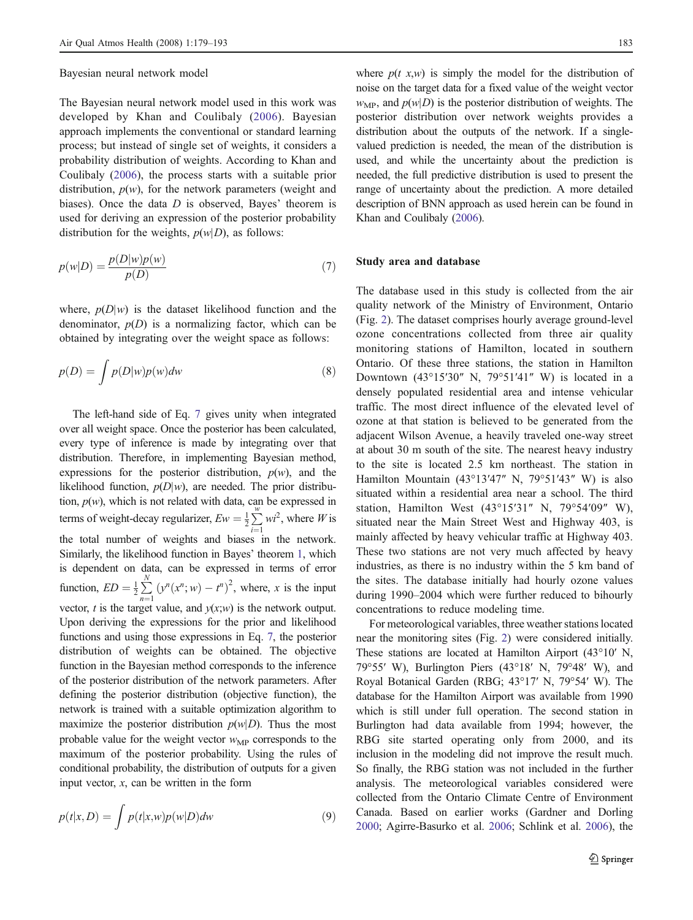#### Bayesian neural network model

The Bayesian neural network model used in this work was developed by Khan and Coulibaly ([2006\)](#page-14-0). Bayesian approach implements the conventional or standard learning process; but instead of single set of weights, it considers a probability distribution of weights. According to Khan and Coulibaly ([2006\)](#page-14-0), the process starts with a suitable prior distribution,  $p(w)$ , for the network parameters (weight and biases). Once the data  $D$  is observed, Bayes' theorem is used for deriving an expression of the posterior probability distribution for the weights,  $p(w|D)$ , as follows:

$$
p(w|D) = \frac{p(D|w)p(w)}{p(D)}
$$
\n<sup>(7)</sup>

where,  $p(D|w)$  is the dataset likelihood function and the denominator,  $p(D)$  is a normalizing factor, which can be obtained by integrating over the weight space as follows:

$$
p(D) = \int p(D|w)p(w)dw
$$
\n(8)

The left-hand side of Eq. 7 gives unity when integrated over all weight space. Once the posterior has been calculated, every type of inference is made by integrating over that distribution. Therefore, in implementing Bayesian method, expressions for the posterior distribution,  $p(w)$ , and the likelihood function,  $p(D|w)$ , are needed. The prior distribution,  $p(w)$ , which is not related with data, can be expressed in terms of weight-decay regularizer,  $Ew = \frac{1}{2} \sum_{n=1}^{w}$  $\sum_{i=1}$  $wi^2$ , where *W* is the total number of weights and biases in the network. Similarly, the likelihood function in Bayes' theorem [1](#page-3-0), which is dependent on data, can be expressed in terms of error function,  $ED = \frac{1}{2} \sum_{n=1}^{\infty}$ N  $\sum_{n=1}^{N} (y^n (x^n; w) - t^n)^2$ , where, x is the input vector, *t* is the target value, and  $y(x;w)$  is the network output. Upon deriving the expressions for the prior and likelihood functions and using those expressions in Eq. 7, the posterior distribution of weights can be obtained. The objective function in the Bayesian method corresponds to the inference of the posterior distribution of the network parameters. After defining the posterior distribution (objective function), the network is trained with a suitable optimization algorithm to maximize the posterior distribution  $p(w|D)$ . Thus the most probable value for the weight vector  $w_{MP}$  corresponds to the maximum of the posterior probability. Using the rules of conditional probability, the distribution of outputs for a given input vector, x, can be written in the form

$$
p(t|x,D) = \int p(t|x,w)p(w|D)dw
$$
\n(9)

where  $p(t, x, w)$  is simply the model for the distribution of noise on the target data for a fixed value of the weight vector  $w<sub>MP</sub>$ , and  $p(w|D)$  is the posterior distribution of weights. The posterior distribution over network weights provides a distribution about the outputs of the network. If a singlevalued prediction is needed, the mean of the distribution is used, and while the uncertainty about the prediction is needed, the full predictive distribution is used to present the range of uncertainty about the prediction. A more detailed description of BNN approach as used herein can be found in Khan and Coulibaly ([2006](#page-14-0)).

# Study area and database

The database used in this study is collected from the air quality network of the Ministry of Environment, Ontario (Fig. [2\)](#page-5-0). The dataset comprises hourly average ground-level ozone concentrations collected from three air quality monitoring stations of Hamilton, located in southern Ontario. Of these three stations, the station in Hamilton Downtown (43°15′30″ N, 79°51′41″ W) is located in a densely populated residential area and intense vehicular traffic. The most direct influence of the elevated level of ozone at that station is believed to be generated from the adjacent Wilson Avenue, a heavily traveled one-way street at about 30 m south of the site. The nearest heavy industry to the site is located 2.5 km northeast. The station in Hamilton Mountain (43°13′47″ N, 79°51′43″ W) is also situated within a residential area near a school. The third station, Hamilton West (43°15′31″ N, 79°54′09″ W), situated near the Main Street West and Highway 403, is mainly affected by heavy vehicular traffic at Highway 403. These two stations are not very much affected by heavy industries, as there is no industry within the 5 km band of the sites. The database initially had hourly ozone values during 1990–2004 which were further reduced to bihourly concentrations to reduce modeling time.

For meteorological variables, three weather stations located near the monitoring sites (Fig. [2](#page-5-0)) were considered initially. These stations are located at Hamilton Airport (43°10′ N, 79°55′ W), Burlington Piers (43°18′ N, 79°48′ W), and Royal Botanical Garden (RBG; 43°17′ N, 79°54′ W). The database for the Hamilton Airport was available from 1990 which is still under full operation. The second station in Burlington had data available from 1994; however, the RBG site started operating only from 2000, and its inclusion in the modeling did not improve the result much. So finally, the RBG station was not included in the further analysis. The meteorological variables considered were collected from the Ontario Climate Centre of Environment Canada. Based on earlier works (Gardner and Dorling [2000;](#page-13-0) Agirre-Basurko et al. [2006;](#page-13-0) Schlink et al. [2006](#page-14-0)), the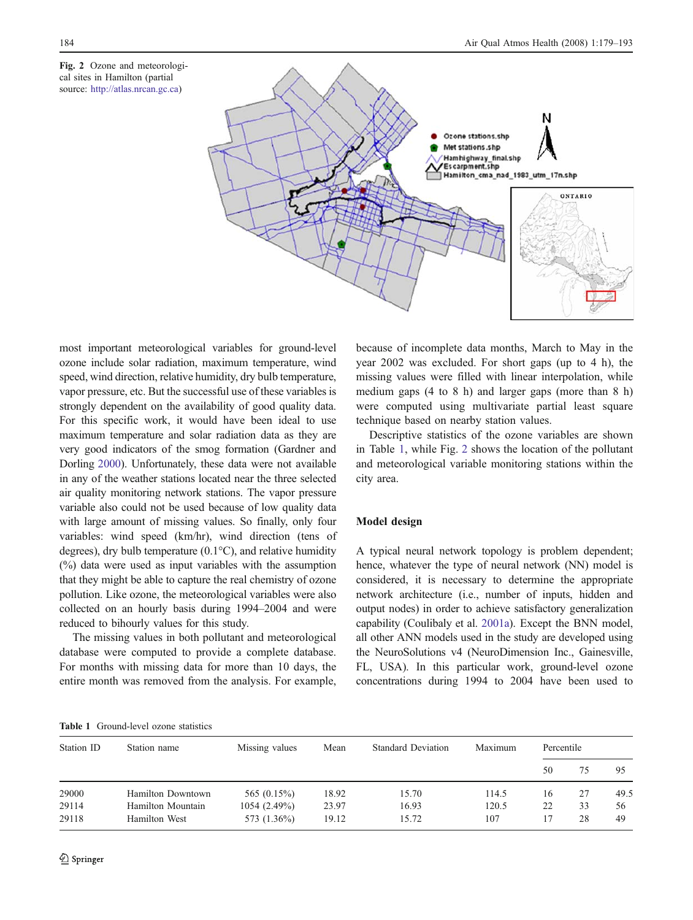<span id="page-5-0"></span>

most important meteorological variables for ground-level ozone include solar radiation, maximum temperature, wind speed, wind direction, relative humidity, dry bulb temperature, vapor pressure, etc. But the successful use of these variables is strongly dependent on the availability of good quality data. For this specific work, it would have been ideal to use maximum temperature and solar radiation data as they are very good indicators of the smog formation (Gardner and Dorling [2000\)](#page-13-0). Unfortunately, these data were not available in any of the weather stations located near the three selected air quality monitoring network stations. The vapor pressure variable also could not be used because of low quality data with large amount of missing values. So finally, only four variables: wind speed (km/hr), wind direction (tens of degrees), dry bulb temperature (0.1°C), and relative humidity (%) data were used as input variables with the assumption that they might be able to capture the real chemistry of ozone pollution. Like ozone, the meteorological variables were also collected on an hourly basis during 1994–2004 and were reduced to bihourly values for this study.

The missing values in both pollutant and meteorological database were computed to provide a complete database. For months with missing data for more than 10 days, the entire month was removed from the analysis. For example,

because of incomplete data months, March to May in the year 2002 was excluded. For short gaps (up to 4 h), the missing values were filled with linear interpolation, while medium gaps (4 to 8 h) and larger gaps (more than 8 h) were computed using multivariate partial least square technique based on nearby station values.

Descriptive statistics of the ozone variables are shown in Table 1, while Fig. 2 shows the location of the pollutant and meteorological variable monitoring stations within the city area.

# Model design

A typical neural network topology is problem dependent; hence, whatever the type of neural network (NN) model is considered, it is necessary to determine the appropriate network architecture (i.e., number of inputs, hidden and output nodes) in order to achieve satisfactory generalization capability (Coulibaly et al. [2001a\)](#page-13-0). Except the BNN model, all other ANN models used in the study are developed using the NeuroSolutions v4 (NeuroDimension Inc., Gainesville, FL, USA). In this particular work, ground-level ozone concentrations during 1994 to 2004 have been used to

Table 1 Ground-level ozone statistics

| Station ID | Station name      | Missing values | Mean  | <b>Standard Deviation</b> | Maximum | Percentile |    |      |
|------------|-------------------|----------------|-------|---------------------------|---------|------------|----|------|
|            |                   |                |       |                           |         | 50         | 75 | 95   |
| 29000      | Hamilton Downtown | 565 $(0.15\%)$ | 18.92 | 15.70                     | 114.5   | 16         | 27 | 49.5 |
| 29114      | Hamilton Mountain | 1054(2.49%)    | 23.97 | 16.93                     | 120.5   | 22         | 33 | 56   |
| 29118      | Hamilton West     | 573 (1.36%)    | 19.12 | 15.72                     | 107     | 17         | 28 | 49   |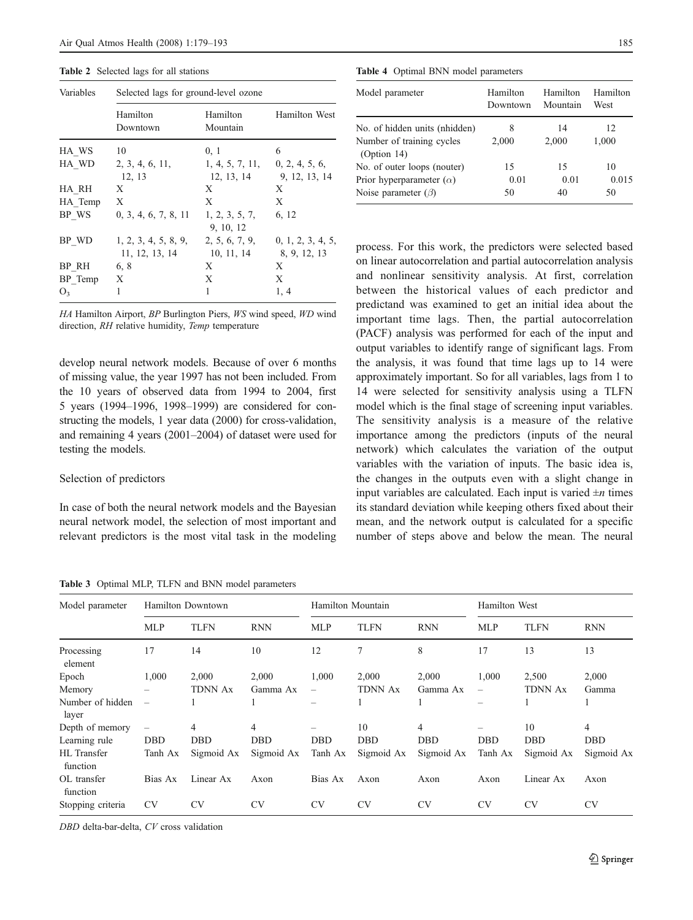<span id="page-6-0"></span>

| Variables      | Selected lags for ground-level ozone   |                                              |                                   |  |  |  |  |
|----------------|----------------------------------------|----------------------------------------------|-----------------------------------|--|--|--|--|
|                | Hamilton<br>Downtown                   | Hamilton<br>Mountain                         | Hamilton West                     |  |  |  |  |
| HA WS          | 10                                     | 0, 1                                         | 6                                 |  |  |  |  |
| HA WD          | 2, 3, 4, 6, 11,<br>12, 13              | 1, 4, 5, 7, 11, 0, 2, 4, 5, 6,<br>12, 13, 14 | 9, 12, 13, 14                     |  |  |  |  |
| HA RH          | X                                      | X                                            | X                                 |  |  |  |  |
| HA Temp        | $\mathbf{X}$                           | X                                            | X                                 |  |  |  |  |
| BP WS          | $0, 3, 4, 6, 7, 8, 11$ 1, 2, 3, 5, 7,  | 9, 10, 12                                    | 6, 12                             |  |  |  |  |
| BP WD          | 1, 2, 3, 4, 5, 8, 9,<br>11, 12, 13, 14 | 2, 5, 6, 7, 9,<br>10, 11, 14                 | 0, 1, 2, 3, 4, 5,<br>8, 9, 12, 13 |  |  |  |  |
| BP RH          | 6, 8                                   | Х                                            | X                                 |  |  |  |  |
| BP Temp        | X                                      | X                                            | X                                 |  |  |  |  |
| O <sub>3</sub> | 1                                      | 1                                            | 1, 4                              |  |  |  |  |

HA Hamilton Airport, BP Burlington Piers, WS wind speed, WD wind direction, RH relative humidity, Temp temperature

develop neural network models. Because of over 6 months of missing value, the year 1997 has not been included. From the 10 years of observed data from 1994 to 2004, first 5 years (1994–1996, 1998–1999) are considered for constructing the models, 1 year data (2000) for cross-validation, and remaining 4 years (2001–2004) of dataset were used for testing the models.

## Selection of predictors

In case of both the neural network models and the Bayesian neural network model, the selection of most important and relevant predictors is the most vital task in the modeling

Table 3 Optimal MLP, TLFN and BNN model parameters

Table 4 Optimal BNN model parameters

| Model parameter                             | Hamilton<br>Downtown | Hamilton<br>Mountain | Hamilton<br>West |  |
|---------------------------------------------|----------------------|----------------------|------------------|--|
| No. of hidden units (nhidden)               | 8                    | 14                   | 12               |  |
| Number of training cycles<br>(Option $14$ ) | 2,000                | 2,000                | 1,000            |  |
| No. of outer loops (nouter)                 | 15                   | 15                   | 10               |  |
| Prior hyperparameter $(\alpha)$             | 0.01                 | 0.01                 | 0.015            |  |
| Noise parameter $(\beta)$                   | 50                   | 40                   | 50               |  |

process. For this work, the predictors were selected based on linear autocorrelation and partial autocorrelation analysis and nonlinear sensitivity analysis. At first, correlation between the historical values of each predictor and predictand was examined to get an initial idea about the important time lags. Then, the partial autocorrelation (PACF) analysis was performed for each of the input and output variables to identify range of significant lags. From the analysis, it was found that time lags up to 14 were approximately important. So for all variables, lags from 1 to 14 were selected for sensitivity analysis using a TLFN model which is the final stage of screening input variables. The sensitivity analysis is a measure of the relative importance among the predictors (inputs of the neural network) which calculates the variation of the output variables with the variation of inputs. The basic idea is, the changes in the outputs even with a slight change in input variables are calculated. Each input is varied  $\pm n$  times its standard deviation while keeping others fixed about their mean, and the network output is calculated for a specific number of steps above and below the mean. The neural

| Model parameter                | Hamilton Downtown        |                |            | Hamilton Mountain |                |            | Hamilton West |                |                |
|--------------------------------|--------------------------|----------------|------------|-------------------|----------------|------------|---------------|----------------|----------------|
|                                | <b>MLP</b>               | TLFN           | <b>RNN</b> | <b>MLP</b>        | <b>TLFN</b>    | <b>RNN</b> | <b>MLP</b>    | <b>TLFN</b>    | <b>RNN</b>     |
| Processing<br>element          | 17                       | 14             | 10         | 12                | 7              | 8          | 17            | 13             | 13             |
| Epoch                          | 1.000                    | 2,000          | 2,000      | 1.000             | 2,000          | 2.000      | 1,000         | 2,500          | 2,000          |
| Memory                         | $\overline{\phantom{0}}$ | TDNN Ax        | Gamma Ax   | $\qquad \qquad -$ | <b>TDNN Ax</b> | Gamma Ax   | -             | <b>TDNN Ax</b> | Gamma          |
| Number of hidden<br>layer      | $\overline{\phantom{0}}$ |                |            |                   |                |            |               |                |                |
| Depth of memory                | $\overline{\phantom{0}}$ | $\overline{4}$ | 4          | -                 | 10             | 4          |               | 10             | $\overline{4}$ |
| Learning rule                  | <b>DBD</b>               | <b>DBD</b>     | <b>DBD</b> | <b>DBD</b>        | <b>DBD</b>     | <b>DBD</b> | <b>DBD</b>    | <b>DBD</b>     | <b>DBD</b>     |
| <b>HL</b> Transfer<br>function | Tanh Ax                  | Sigmoid Ax     | Sigmoid Ax | Tanh Ax           | Sigmoid Ax     | Sigmoid Ax | Tanh Ax       | Sigmoid Ax     | Sigmoid Ax     |
| OL transfer<br>function        | Bias Ax                  | Linear Ax      | Axon       | Bias Ax           | Axon           | Axon       | Axon          | Linear Ax      | Axon           |
| Stopping criteria              | <b>CV</b>                | <b>CV</b>      | <b>CV</b>  | <b>CV</b>         | <b>CV</b>      | <b>CV</b>  | <b>CV</b>     | <b>CV</b>      | <b>CV</b>      |

DBD delta-bar-delta, CV cross validation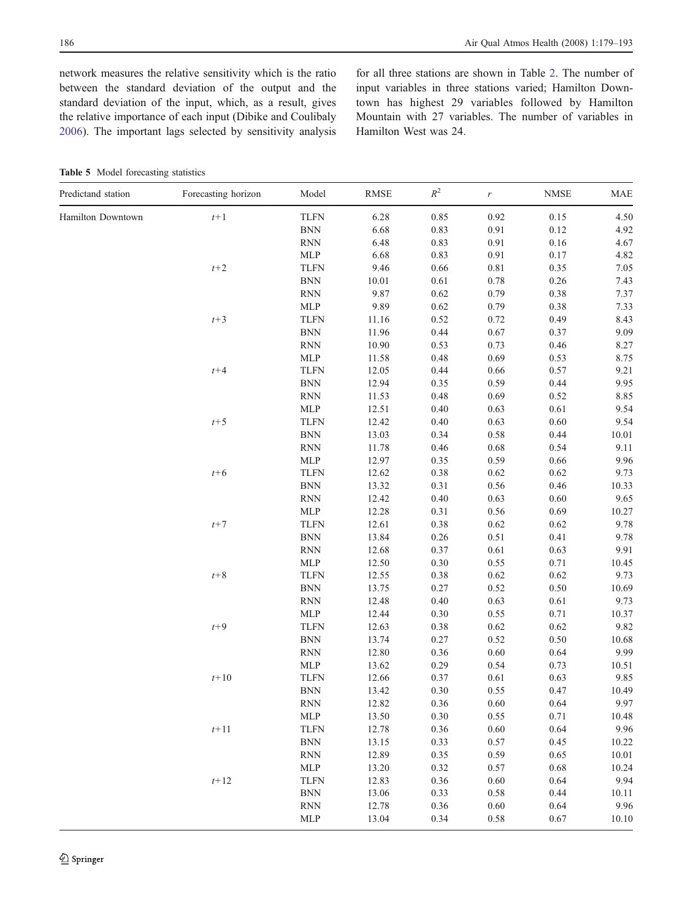<span id="page-7-0"></span>network measures the relative sensitivity which is the ratio between the standard deviation of the output and the standard deviation of the input, which, as a result, gives the relative importance of each input (Dibike and Coulibaly [2006\)](#page-13-0). The important lags selected by sensitivity analysis for all three stations are shown in Table [2](#page-6-0). The number of input variables in three stations varied; Hamilton Downtown has highest 29 variables followed by Hamilton Mountain with 27 variables. The number of variables in Hamilton West was 24.

Table 5 Model forecasting statistics

| Predictand station | Forecasting horizon | Model                       | <b>RMSE</b> | $\mathbb{R}^2$ | $\boldsymbol{r}$ | <b>NMSE</b> | $\operatorname{MAE}$ |
|--------------------|---------------------|-----------------------------|-------------|----------------|------------------|-------------|----------------------|
| Hamilton Downtown  | $t\text{+}1$        | <b>TLFN</b>                 | 6.28        | 0.85           | 0.92             | 0.15        | 4.50                 |
|                    |                     | $\operatorname{BNN}$        | 6.68        | 0.83           | 0.91             | 0.12        | 4.92                 |
|                    |                     | <b>RNN</b>                  | 6.48        | 0.83           | 0.91             | $0.16\,$    | 4.67                 |
|                    |                     | $\text{MLP}$                | 6.68        | 0.83           | 0.91             | 0.17        | 4.82                 |
|                    | $t+2$               | <b>TLFN</b>                 | 9.46        | 0.66           | 0.81             | 0.35        | 7.05                 |
|                    |                     | <b>BNN</b>                  | 10.01       | 0.61           | 0.78             | 0.26        | 7.43                 |
|                    |                     | <b>RNN</b>                  | 9.87        | 0.62           | 0.79             | 0.38        | 7.37                 |
|                    |                     | $\text{MLP}$                | 9.89        | $0.62\,$       | 0.79             | 0.38        | 7.33                 |
|                    | $t+3$               | <b>TLFN</b>                 | 11.16       | 0.52           | 0.72             | 0.49        | 8.43                 |
|                    |                     | <b>BNN</b>                  | 11.96       | 0.44           | 0.67             | 0.37        | 9.09                 |
|                    |                     | $\mathop{\rm RNN}\nolimits$ | 10.90       | 0.53           | 0.73             | 0.46        | 8.27                 |
|                    |                     | $\text{MLP}$                | 11.58       | 0.48           | 0.69             | 0.53        | 8.75                 |
|                    | $t+4$               | <b>TLFN</b>                 | 12.05       | 0.44           | 0.66             | 0.57        | 9.21                 |
|                    |                     | <b>BNN</b>                  | 12.94       | 0.35           | 0.59             | 0.44        | 9.95                 |
|                    |                     | <b>RNN</b>                  | 11.53       | 0.48           | 0.69             | 0.52        | 8.85                 |
|                    |                     | $\text{MLP}$                | 12.51       | $0.40\,$       | 0.63             | 0.61        | 9.54                 |
|                    | $t+5$               | <b>TLFN</b>                 | 12.42       | $0.40\,$       | 0.63             | 0.60        | 9.54                 |
|                    |                     | <b>BNN</b>                  | 13.03       | 0.34           | 0.58             | 0.44        | $10.01\,$            |
|                    |                     | <b>RNN</b>                  | 11.78       | 0.46           | 0.68             | 0.54        | 9.11                 |
|                    |                     | $\text{MLP}$                | 12.97       | 0.35           | 0.59             | 0.66        | 9.96                 |
|                    | $t+6$               | <b>TLFN</b>                 | 12.62       | $0.38\,$       | 0.62             | 0.62        | 9.73                 |
|                    |                     | <b>BNN</b>                  | 13.32       | 0.31           | 0.56             | 0.46        | 10.33                |
|                    |                     | <b>RNN</b>                  | 12.42       | $0.40\,$       | 0.63             | $0.60\,$    | 9.65                 |
|                    |                     | $\text{MLP}$                | 12.28       | 0.31           | 0.56             | 0.69        | 10.27                |
|                    | $t+7$               | <b>TLFN</b>                 | 12.61       | 0.38           | 0.62             | 0.62        | 9.78                 |
|                    |                     | <b>BNN</b>                  | 13.84       | 0.26           | 0.51             | 0.41        | 9.78                 |
|                    |                     | <b>RNN</b>                  | 12.68       | 0.37           | 0.61             | 0.63        | 9.91                 |
|                    |                     | $\text{MLP}$                | 12.50       | $0.30\,$       | 0.55             | 0.71        | 10.45                |
|                    | $t+8$               | <b>TLFN</b>                 | 12.55       | 0.38           | 0.62             | 0.62        | 9.73                 |
|                    |                     | <b>BNN</b>                  | 13.75       | 0.27           | 0.52             | 0.50        | 10.69                |
|                    |                     | <b>RNN</b>                  | 12.48       | $0.40\,$       | 0.63             | 0.61        | 9.73                 |
|                    |                     | MLP                         | 12.44       | $0.30\,$       | 0.55             | 0.71        | 10.37                |
|                    | $t+9$               | <b>TLFN</b>                 | 12.63       | 0.38           | 0.62             | 0.62        | 9.82                 |
|                    |                     | <b>BNN</b>                  | 13.74       | 0.27           | 0.52             | 0.50        | 10.68                |
|                    |                     | $\mathop{\rm RNN}\nolimits$ | 12.80       | 0.36           | 0.60             | 0.64        | 9.99                 |
|                    |                     | $\text{MLP}$                | 13.62       | 0.29           | 0.54             | 0.73        | 10.51                |
|                    | $t+10$              | <b>TLFN</b>                 | 12.66       | 0.37           | $0.61\,$         | 0.63        | 9.85                 |
|                    |                     | <b>BNN</b>                  | 13.42       | $0.30\,$       | 0.55             | 0.47        | 10.49                |
|                    |                     | <b>RNN</b>                  | 12.82       | 0.36           | 0.60             | 0.64        | 9.97                 |
|                    |                     | MLP                         | 13.50       | 0.30           | 0.55             | 0.71        | 10.48                |
|                    | $t+11$              | <b>TLFN</b>                 | 12.78       | 0.36           | $0.60\,$         | 0.64        | 9.96                 |
|                    |                     | $\operatorname{BNN}$        | 13.15       | 0.33           | 0.57             | 0.45        | 10.22                |
|                    |                     | $\mathop{\rm RNN}\nolimits$ | 12.89       | 0.35           | 0.59             | 0.65        | $10.01\,$            |
|                    |                     | $\text{MLP}$                | 13.20       | 0.32           | 0.57             | 0.68        | 10.24                |
|                    | $t\text{+}12$       | <b>TLFN</b>                 | 12.83       | 0.36           | 0.60             | 0.64        | 9.94                 |
|                    |                     | $\operatorname{BNN}$        | 13.06       | 0.33           | 0.58             | 0.44        | 10.11                |
|                    |                     | $\mathop{\rm RNN}\nolimits$ | 12.78       | 0.36           | 0.60             | 0.64        | 9.96                 |
|                    |                     | $\text{MLP}$                | 13.04       | 0.34           | 0.58             | 0.67        | 10.10                |
|                    |                     |                             |             |                |                  |             |                      |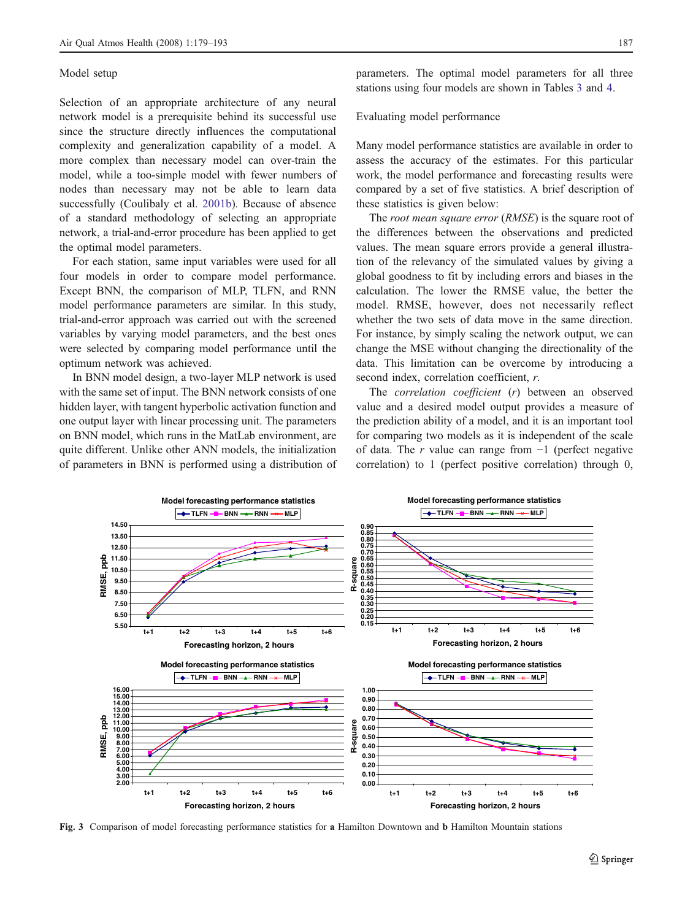#### <span id="page-8-0"></span>Model setup

Selection of an appropriate architecture of any neural network model is a prerequisite behind its successful use since the structure directly influences the computational complexity and generalization capability of a model. A more complex than necessary model can over-train the model, while a too-simple model with fewer numbers of nodes than necessary may not be able to learn data successfully (Coulibaly et al. [2001b](#page-13-0)). Because of absence of a standard methodology of selecting an appropriate network, a trial-and-error procedure has been applied to get the optimal model parameters.

For each station, same input variables were used for all four models in order to compare model performance. Except BNN, the comparison of MLP, TLFN, and RNN model performance parameters are similar. In this study, trial-and-error approach was carried out with the screened variables by varying model parameters, and the best ones were selected by comparing model performance until the optimum network was achieved.

In BNN model design, a two-layer MLP network is used with the same set of input. The BNN network consists of one hidden layer, with tangent hyperbolic activation function and one output layer with linear processing unit. The parameters on BNN model, which runs in the MatLab environment, are quite different. Unlike other ANN models, the initialization of parameters in BNN is performed using a distribution of parameters. The optimal model parameters for all three stations using four models are shown in Tables [3](#page-6-0) and [4.](#page-6-0)

#### Evaluating model performance

Many model performance statistics are available in order to assess the accuracy of the estimates. For this particular work, the model performance and forecasting results were compared by a set of five statistics. A brief description of these statistics is given below:

The root mean square error (RMSE) is the square root of the differences between the observations and predicted values. The mean square errors provide a general illustration of the relevancy of the simulated values by giving a global goodness to fit by including errors and biases in the calculation. The lower the RMSE value, the better the model. RMSE, however, does not necessarily reflect whether the two sets of data move in the same direction. For instance, by simply scaling the network output, we can change the MSE without changing the directionality of the data. This limitation can be overcome by introducing a second index, correlation coefficient, r.

The *correlation coefficient* (r) between an observed value and a desired model output provides a measure of the prediction ability of a model, and it is an important tool for comparing two models as it is independent of the scale of data. The r value can range from *−*1 (perfect negative correlation) to 1 (perfect positive correlation) through 0,



Fig. 3 Comparison of model forecasting performance statistics for a Hamilton Downtown and b Hamilton Mountain stations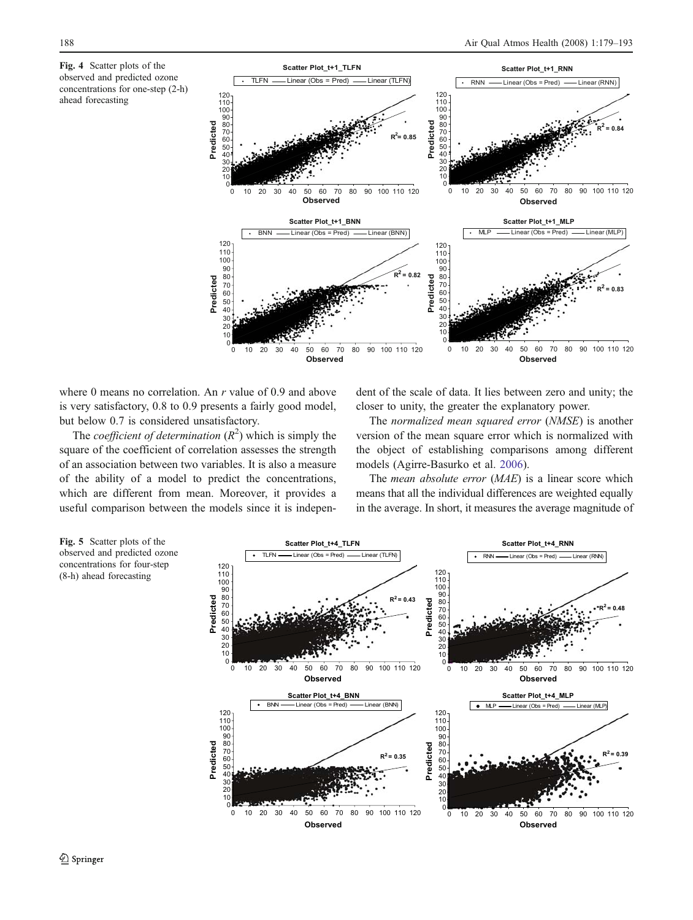<span id="page-9-0"></span>Fig. 4 Scatter plots of the observed and predicted ozone concentrations for one-step (2-h) ahead forecasting



where 0 means no correlation. An  $r$  value of 0.9 and above is very satisfactory, 0.8 to 0.9 presents a fairly good model, but below 0.7 is considered unsatisfactory.

The *coefficient of determination*  $(R^2)$  which is simply the square of the coefficient of correlation assesses the strength of an association between two variables. It is also a measure of the ability of a model to predict the concentrations, which are different from mean. Moreover, it provides a useful comparison between the models since it is independent of the scale of data. It lies between zero and unity; the closer to unity, the greater the explanatory power.

The normalized mean squared error (NMSE) is another version of the mean square error which is normalized with the object of establishing comparisons among different models (Agirre-Basurko et al. [2006\)](#page-13-0).

The *mean absolute error* (*MAE*) is a linear score which means that all the individual differences are weighted equally in the average. In short, it measures the average magnitude of



observed and predicted ozone concentrations for four-step (8-h) ahead forecasting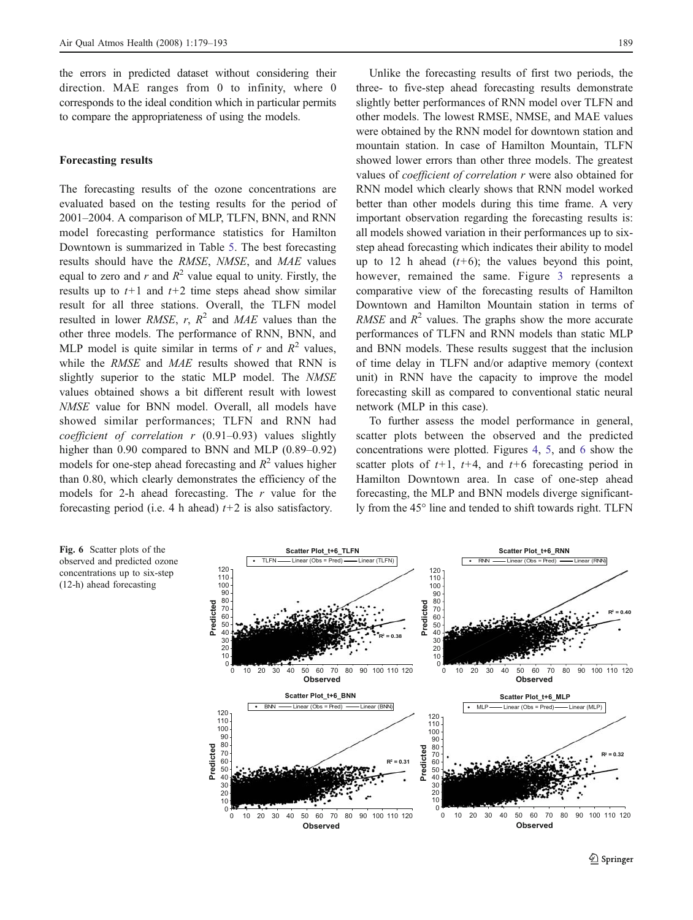<span id="page-10-0"></span>the errors in predicted dataset without considering their direction. MAE ranges from 0 to infinity, where 0 corresponds to the ideal condition which in particular permits to compare the appropriateness of using the models.

#### Forecasting results

The forecasting results of the ozone concentrations are evaluated based on the testing results for the period of 2001–2004. A comparison of MLP, TLFN, BNN, and RNN model forecasting performance statistics for Hamilton Downtown is summarized in Table [5](#page-7-0). The best forecasting results should have the RMSE, NMSE, and MAE values equal to zero and r and  $R^2$  value equal to unity. Firstly, the results up to  $t+1$  and  $t+2$  time steps ahead show similar result for all three stations. Overall, the TLFN model resulted in lower *RMSE*, r,  $R^2$  and *MAE* values than the other three models. The performance of RNN, BNN, and MLP model is quite similar in terms of r and  $R^2$  values, while the RMSE and MAE results showed that RNN is slightly superior to the static MLP model. The NMSE values obtained shows a bit different result with lowest NMSE value for BNN model. Overall, all models have showed similar performances; TLFN and RNN had coefficient of correlation  $r(0.91-0.93)$  values slightly higher than 0.90 compared to BNN and MLP (0.89–0.92) models for one-step ahead forecasting and  $R^2$  values higher than 0.80, which clearly demonstrates the efficiency of the models for 2-h ahead forecasting. The  $r$  value for the forecasting period (i.e. 4 h ahead)  $t+2$  is also satisfactory.

Unlike the forecasting results of first two periods, the three- to five-step ahead forecasting results demonstrate slightly better performances of RNN model over TLFN and other models. The lowest RMSE, NMSE, and MAE values were obtained by the RNN model for downtown station and mountain station. In case of Hamilton Mountain, TLFN showed lower errors than other three models. The greatest values of coefficient of correlation r were also obtained for RNN model which clearly shows that RNN model worked better than other models during this time frame. A very important observation regarding the forecasting results is: all models showed variation in their performances up to sixstep ahead forecasting which indicates their ability to model up to 12 h ahead  $(t+6)$ ; the values beyond this point, however, remained the same. Figure [3](#page-8-0) represents a comparative view of the forecasting results of Hamilton Downtown and Hamilton Mountain station in terms of *RMSE* and  $R^2$  values. The graphs show the more accurate performances of TLFN and RNN models than static MLP and BNN models. These results suggest that the inclusion of time delay in TLFN and/or adaptive memory (context unit) in RNN have the capacity to improve the model forecasting skill as compared to conventional static neural network (MLP in this case).

To further assess the model performance in general, scatter plots between the observed and the predicted concentrations were plotted. Figures [4,](#page-9-0) [5](#page-9-0), and 6 show the scatter plots of  $t+1$ ,  $t+4$ , and  $t+6$  forecasting period in Hamilton Downtown area. In case of one-step ahead forecasting, the MLP and BNN models diverge significantly from the 45° line and tended to shift towards right. TLFN

Fig. 6 Scatter plots of the observed and predicted ozone concentrations up to six-step (12-h) ahead forecasting

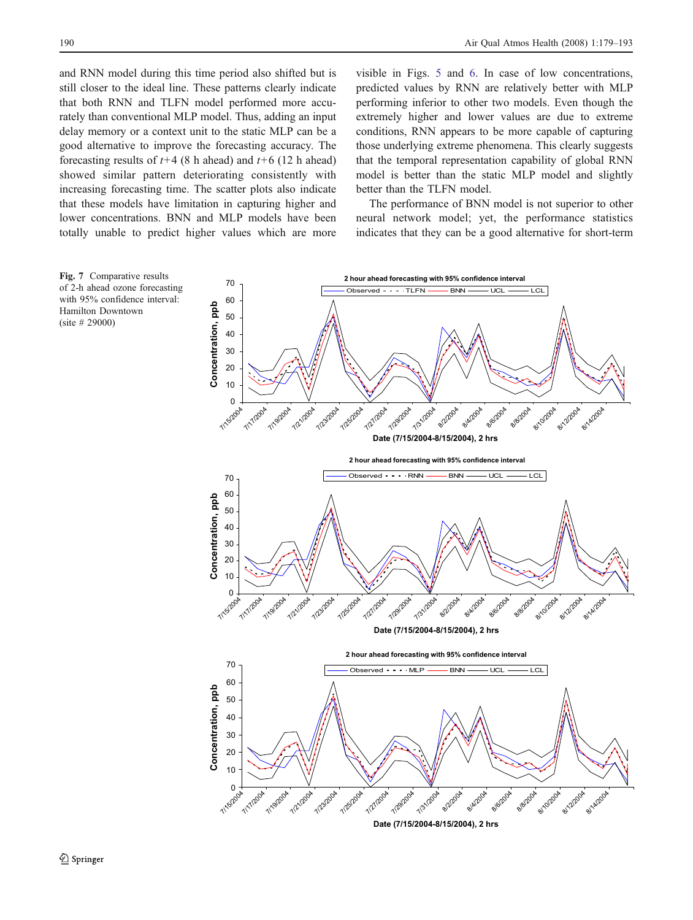<span id="page-11-0"></span>and RNN model during this time period also shifted but is still closer to the ideal line. These patterns clearly indicate that both RNN and TLFN model performed more accurately than conventional MLP model. Thus, adding an input delay memory or a context unit to the static MLP can be a good alternative to improve the forecasting accuracy. The forecasting results of  $t+4$  (8 h ahead) and  $t+6$  (12 h ahead) showed similar pattern deteriorating consistently with increasing forecasting time. The scatter plots also indicate that these models have limitation in capturing higher and lower concentrations. BNN and MLP models have been totally unable to predict higher values which are more

visible in Figs. [5](#page-9-0) and [6.](#page-10-0) In case of low concentrations, predicted values by RNN are relatively better with MLP performing inferior to other two models. Even though the extremely higher and lower values are due to extreme conditions, RNN appears to be more capable of capturing those underlying extreme phenomena. This clearly suggests that the temporal representation capability of global RNN model is better than the static MLP model and slightly better than the TLFN model.

The performance of BNN model is not superior to other neural network model; yet, the performance statistics indicates that they can be a good alternative for short-term

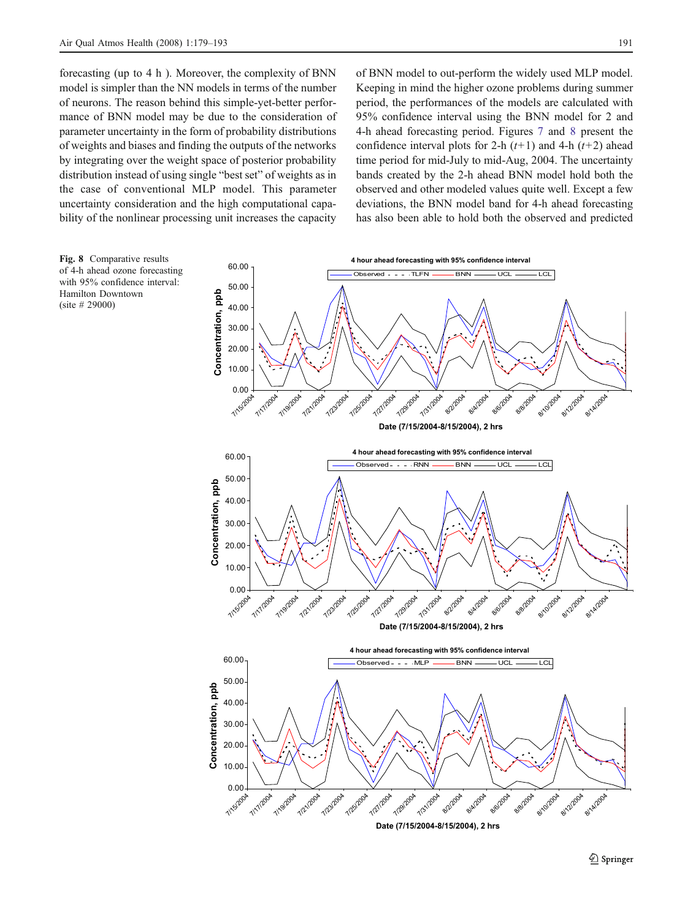forecasting (up to 4 h ). Moreover, the complexity of BNN model is simpler than the NN models in terms of the number of neurons. The reason behind this simple-yet-better performance of BNN model may be due to the consideration of parameter uncertainty in the form of probability distributions of weights and biases and finding the outputs of the networks by integrating over the weight space of posterior probability distribution instead of using single "best set" of weights as in the case of conventional MLP model. This parameter uncertainty consideration and the high computational capability of the nonlinear processing unit increases the capacity

of BNN model to out-perform the widely used MLP model. Keeping in mind the higher ozone problems during summer period, the performances of the models are calculated with 95% confidence interval using the BNN model for 2 and 4-h ahead forecasting period. Figures [7](#page-11-0) and 8 present the confidence interval plots for 2-h  $(t+1)$  and 4-h  $(t+2)$  ahead time period for mid-July to mid-Aug, 2004. The uncertainty bands created by the 2-h ahead BNN model hold both the observed and other modeled values quite well. Except a few deviations, the BNN model band for 4-h ahead forecasting has also been able to hold both the observed and predicted

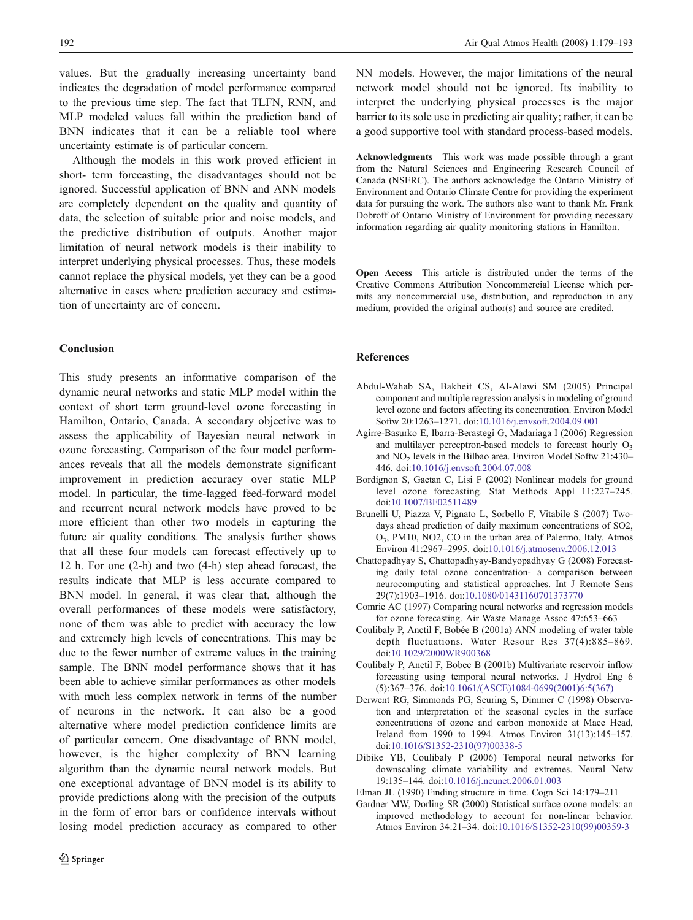<span id="page-13-0"></span>values. But the gradually increasing uncertainty band indicates the degradation of model performance compared to the previous time step. The fact that TLFN, RNN, and MLP modeled values fall within the prediction band of BNN indicates that it can be a reliable tool where uncertainty estimate is of particular concern.

Although the models in this work proved efficient in short- term forecasting, the disadvantages should not be ignored. Successful application of BNN and ANN models are completely dependent on the quality and quantity of data, the selection of suitable prior and noise models, and the predictive distribution of outputs. Another major limitation of neural network models is their inability to interpret underlying physical processes. Thus, these models cannot replace the physical models, yet they can be a good alternative in cases where prediction accuracy and estimation of uncertainty are of concern.

# Conclusion

This study presents an informative comparison of the dynamic neural networks and static MLP model within the context of short term ground-level ozone forecasting in Hamilton, Ontario, Canada. A secondary objective was to assess the applicability of Bayesian neural network in ozone forecasting. Comparison of the four model performances reveals that all the models demonstrate significant improvement in prediction accuracy over static MLP model. In particular, the time-lagged feed-forward model and recurrent neural network models have proved to be more efficient than other two models in capturing the future air quality conditions. The analysis further shows that all these four models can forecast effectively up to 12 h. For one (2-h) and two (4-h) step ahead forecast, the results indicate that MLP is less accurate compared to BNN model. In general, it was clear that, although the overall performances of these models were satisfactory, none of them was able to predict with accuracy the low and extremely high levels of concentrations. This may be due to the fewer number of extreme values in the training sample. The BNN model performance shows that it has been able to achieve similar performances as other models with much less complex network in terms of the number of neurons in the network. It can also be a good alternative where model prediction confidence limits are of particular concern. One disadvantage of BNN model, however, is the higher complexity of BNN learning algorithm than the dynamic neural network models. But one exceptional advantage of BNN model is its ability to provide predictions along with the precision of the outputs in the form of error bars or confidence intervals without losing model prediction accuracy as compared to other

NN models. However, the major limitations of the neural network model should not be ignored. Its inability to interpret the underlying physical processes is the major barrier to its sole use in predicting air quality; rather, it can be a good supportive tool with standard process-based models.

Acknowledgments This work was made possible through a grant from the Natural Sciences and Engineering Research Council of Canada (NSERC). The authors acknowledge the Ontario Ministry of Environment and Ontario Climate Centre for providing the experiment data for pursuing the work. The authors also want to thank Mr. Frank Dobroff of Ontario Ministry of Environment for providing necessary information regarding air quality monitoring stations in Hamilton.

Open Access This article is distributed under the terms of the Creative Commons Attribution Noncommercial License which permits any noncommercial use, distribution, and reproduction in any medium, provided the original author(s) and source are credited.

## References

- Abdul-Wahab SA, Bakheit CS, Al-Alawi SM (2005) Principal component and multiple regression analysis in modeling of ground level ozone and factors affecting its concentration. Environ Model Softw 20:1263–1271. doi:[10.1016/j.envsoft.2004.09.001](http://dx.doi.org/10.1016/j.envsoft.2004.09.001)
- Agirre-Basurko E, Ibarra-Berastegi G, Madariaga I (2006) Regression and multilayer perceptron-based models to forecast hourly  $O_3$ and NO2 levels in the Bilbao area. Environ Model Softw 21:430– 446. doi:[10.1016/j.envsoft.2004.07.008](http://dx.doi.org/10.1016/j.envsoft.2004.07.008)
- Bordignon S, Gaetan C, Lisi F (2002) Nonlinear models for ground level ozone forecasting. Stat Methods Appl 11:227–245. doi[:10.1007/BF02511489](http://dx.doi.org/10.1007/BF02511489)
- Brunelli U, Piazza V, Pignato L, Sorbello F, Vitabile S (2007) Twodays ahead prediction of daily maximum concentrations of SO2, O3, PM10, NO2, CO in the urban area of Palermo, Italy. Atmos Environ 41:2967–2995. doi:[10.1016/j.atmosenv.2006.12.013](http://dx.doi.org/10.1016/j.atmosenv.2006.12.013)
- Chattopadhyay S, Chattopadhyay-Bandyopadhyay G (2008) Forecasting daily total ozone concentration- a comparison between neurocomputing and statistical approaches. Int J Remote Sens 29(7):1903–1916. doi:[10.1080/01431160701373770](http://dx.doi.org/10.1080/01431160701373770)
- Comrie AC (1997) Comparing neural networks and regression models for ozone forecasting. Air Waste Manage Assoc 47:653–663
- Coulibaly P, Anctil F, Bobée B (2001a) ANN modeling of water table depth fluctuations. Water Resour Res 37(4):885–869. doi[:10.1029/2000WR900368](http://dx.doi.org/10.1029/2000WR900368)
- Coulibaly P, Anctil F, Bobee B (2001b) Multivariate reservoir inflow forecasting using temporal neural networks. J Hydrol Eng 6 (5):367–376. doi:[10.1061/\(ASCE\)1084-0699\(2001\)6:5\(367\)](http://dx.doi.org/10.1061/(ASCE)1084-0699(2001)6:5(367))
- Derwent RG, Simmonds PG, Seuring S, Dimmer C (1998) Observation and interpretation of the seasonal cycles in the surface concentrations of ozone and carbon monoxide at Mace Head, Ireland from 1990 to 1994. Atmos Environ 31(13):145–157. doi[:10.1016/S1352-2310\(97\)00338-5](http://dx.doi.org/10.1016/S1352-2310(97)00338-5)
- Dibike YB, Coulibaly P (2006) Temporal neural networks for downscaling climate variability and extremes. Neural Netw 19:135–144. doi[:10.1016/j.neunet.2006.01.003](http://dx.doi.org/10.1016/j.neunet.2006.01.003)
- Elman JL (1990) Finding structure in time. Cogn Sci 14:179–211
- Gardner MW, Dorling SR (2000) Statistical surface ozone models: an improved methodology to account for non-linear behavior. Atmos Environ 34:21–34. doi[:10.1016/S1352-2310\(99\)00359-3](http://dx.doi.org/10.1016/S1352-2310(99)00359-3)